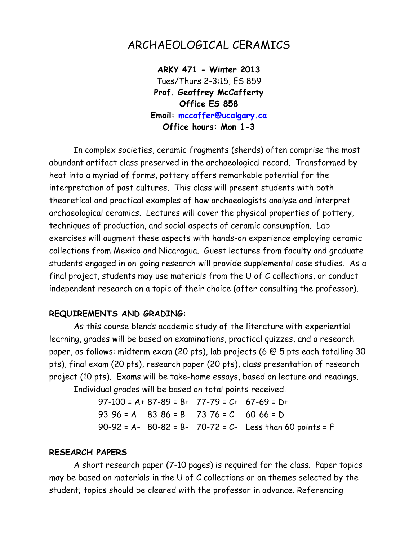# ARCHAEOLOGICAL CERAMICS

**ARKY 471 - Winter 2013** Tues/Thurs 2-3:15, ES 859 **Prof. Geoffrey McCafferty Office ES 858 Email: [mccaffer@ucalgary.ca](mailto:mccaffer@ucalgary.ca) Office hours: Mon 1-3**

In complex societies, ceramic fragments (sherds) often comprise the most abundant artifact class preserved in the archaeological record. Transformed by heat into a myriad of forms, pottery offers remarkable potential for the interpretation of past cultures. This class will present students with both theoretical and practical examples of how archaeologists analyse and interpret archaeological ceramics. Lectures will cover the physical properties of pottery, techniques of production, and social aspects of ceramic consumption. Lab exercises will augment these aspects with hands-on experience employing ceramic collections from Mexico and Nicaragua. Guest lectures from faculty and graduate students engaged in on-going research will provide supplemental case studies. As a final project, students may use materials from the U of C collections, or conduct independent research on a topic of their choice (after consulting the professor).

#### **REQUIREMENTS AND GRADING:**

As this course blends academic study of the literature with experiential learning, grades will be based on examinations, practical quizzes, and a research paper, as follows: midterm exam (20 pts), lab projects (6 @ 5 pts each totalling 30 pts), final exam (20 pts), research paper (20 pts), class presentation of research project (10 pts). Exams will be take-home essays, based on lecture and readings.

Individual grades will be based on total points received:

 $97-100 = A + 87-89 = B + 77-79 = C + 67-69 = D +$  $93-96 = A$   $83-86 = B$   $73-76 = C$   $60-66 = D$ 90-92 = A- 80-82 = B- 70-72 = C- Less than 60 points = F

#### **RESEARCH PAPERS**

A short research paper (7-10 pages) is required for the class. Paper topics may be based on materials in the U of C collections or on themes selected by the student; topics should be cleared with the professor in advance. Referencing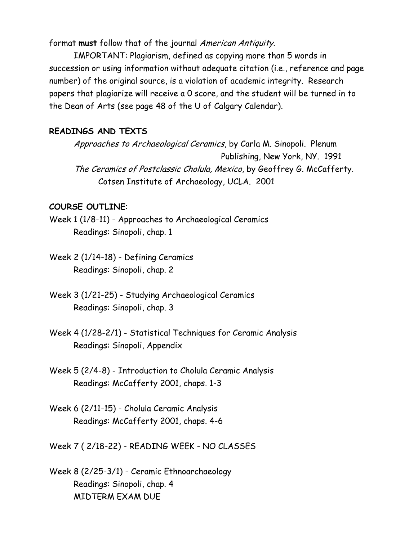format **must** follow that of the journal American Antiquity.

IMPORTANT: Plagiarism, defined as copying more than 5 words in succession or using information without adequate citation (i.e., reference and page number) of the original source, is a violation of academic integrity. Research papers that plagiarize will receive a 0 score, and the student will be turned in to the Dean of Arts (see page 48 of the U of Calgary Calendar).

### **READINGS AND TEXTS**

Approaches to Archaeological Ceramics, by Carla M. Sinopoli. Plenum Publishing, New York, NY. 1991 The Ceramics of Postclassic Cholula, Mexico, by Geoffrey G. McCafferty. Cotsen Institute of Archaeology, UCLA. 2001

## **COURSE OUTLINE**:

Week 1 (1/8-11) - Approaches to Archaeological Ceramics Readings: Sinopoli, chap. 1

Week 2 (1/14-18) - Defining Ceramics Readings: Sinopoli, chap. 2

- Week 3 (1/21-25) Studying Archaeological Ceramics Readings: Sinopoli, chap. 3
- Week 4 (1/28-2/1) Statistical Techniques for Ceramic Analysis Readings: Sinopoli, Appendix

Week 5 (2/4-8) - Introduction to Cholula Ceramic Analysis Readings: McCafferty 2001, chaps. 1-3

Week 6 (2/11-15) - Cholula Ceramic Analysis Readings: McCafferty 2001, chaps. 4-6

Week 7 ( 2/18-22) - READING WEEK - NO CLASSES

Week 8 (2/25-3/1) - Ceramic Ethnoarchaeology Readings: Sinopoli, chap. 4 MIDTERM EXAM DUE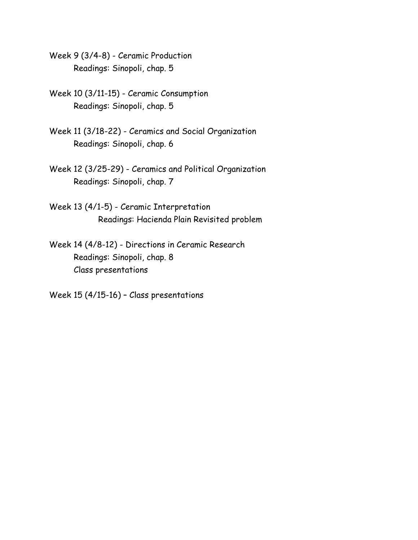Week 9 (3/4-8) - Ceramic Production Readings: Sinopoli, chap. 5

Week 10 (3/11-15) - Ceramic Consumption Readings: Sinopoli, chap. 5

Week 11 (3/18-22) - Ceramics and Social Organization Readings: Sinopoli, chap. 6

Week 12 (3/25-29) - Ceramics and Political Organization Readings: Sinopoli, chap. 7

Week 13 (4/1-5) - Ceramic Interpretation Readings: Hacienda Plain Revisited problem

Week 14 (4/8-12) - Directions in Ceramic Research Readings: Sinopoli, chap. 8 Class presentations

Week 15 (4/15-16) – Class presentations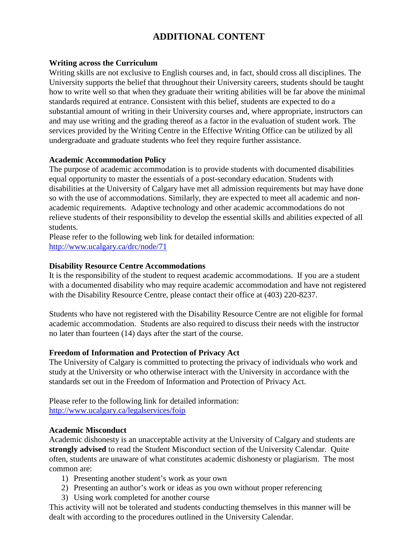# **ADDITIONAL CONTENT**

#### **Writing across the Curriculum**

Writing skills are not exclusive to English courses and, in fact, should cross all disciplines. The University supports the belief that throughout their University careers, students should be taught how to write well so that when they graduate their writing abilities will be far above the minimal standards required at entrance. Consistent with this belief, students are expected to do a substantial amount of writing in their University courses and, where appropriate, instructors can and may use writing and the grading thereof as a factor in the evaluation of student work. The services provided by the Writing Centre in the Effective Writing Office can be utilized by all undergraduate and graduate students who feel they require further assistance.

#### **Academic Accommodation Policy**

The purpose of academic accommodation is to provide students with documented disabilities equal opportunity to master the essentials of a post-secondary education. Students with disabilities at the University of Calgary have met all admission requirements but may have done so with the use of accommodations. Similarly, they are expected to meet all academic and nonacademic requirements. Adaptive technology and other academic accommodations do not relieve students of their responsibility to develop the essential skills and abilities expected of all students.

Please refer to the following web link for detailed information: <http://www.ucalgary.ca/drc/node/71>

#### **Disability Resource Centre Accommodations**

It is the responsibility of the student to request academic accommodations. If you are a student with a documented disability who may require academic accommodation and have not registered with the Disability Resource Centre, please contact their office at (403) 220-8237.

Students who have not registered with the Disability Resource Centre are not eligible for formal academic accommodation. Students are also required to discuss their needs with the instructor no later than fourteen (14) days after the start of the course.

#### **Freedom of Information and Protection of Privacy Act**

The University of Calgary is committed to protecting the privacy of individuals who work and study at the University or who otherwise interact with the University in accordance with the standards set out in the Freedom of Information and Protection of Privacy Act.

Please refer to the following link for detailed information: <http://www.ucalgary.ca/legalservices/foip>

#### **Academic Misconduct**

Academic dishonesty is an unacceptable activity at the University of Calgary and students are **strongly advised** to read the Student Misconduct section of the University Calendar. Quite often, students are unaware of what constitutes academic dishonesty or plagiarism. The most common are:

- 1) Presenting another student's work as your own
- 2) Presenting an author's work or ideas as you own without proper referencing
- 3) Using work completed for another course

This activity will not be tolerated and students conducting themselves in this manner will be dealt with according to the procedures outlined in the University Calendar.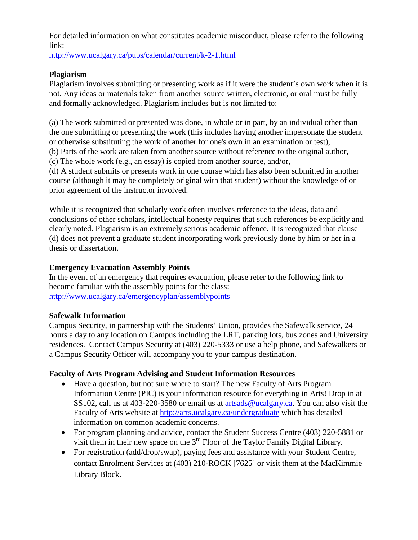For detailed information on what constitutes academic misconduct, please refer to the following link:

<http://www.ucalgary.ca/pubs/calendar/current/k-2-1.html>

## **Plagiarism**

Plagiarism involves submitting or presenting work as if it were the student's own work when it is not. Any ideas or materials taken from another source written, electronic, or oral must be fully and formally acknowledged. Plagiarism includes but is not limited to:

(a) The work submitted or presented was done, in whole or in part, by an individual other than the one submitting or presenting the work (this includes having another impersonate the student or otherwise substituting the work of another for one's own in an examination or test), (b) Parts of the work are taken from another source without reference to the original author,

(c) The whole work (e.g., an essay) is copied from another source, and/or,

(d) A student submits or presents work in one course which has also been submitted in another course (although it may be completely original with that student) without the knowledge of or prior agreement of the instructor involved.

While it is recognized that scholarly work often involves reference to the ideas, data and conclusions of other scholars, intellectual honesty requires that such references be explicitly and clearly noted. Plagiarism is an extremely serious academic offence. It is recognized that clause (d) does not prevent a graduate student incorporating work previously done by him or her in a thesis or dissertation.

## **Emergency Evacuation Assembly Points**

In the event of an emergency that requires evacuation, please refer to the following link to become familiar with the assembly points for the class: <http://www.ucalgary.ca/emergencyplan/assemblypoints>

## **Safewalk Information**

Campus Security, in partnership with the Students' Union, provides the Safewalk service, 24 hours a day to any location on Campus including the LRT, parking lots, bus zones and University residences. Contact Campus Security at (403) 220-5333 or use a help phone, and Safewalkers or a Campus Security Officer will accompany you to your campus destination.

## **Faculty of Arts Program Advising and Student Information Resources**

- Have a question, but not sure where to start? The new Faculty of Arts Program Information Centre (PIC) is your information resource for everything in Arts! Drop in at SS102, call us at 403-220-3580 or email us at [artsads@ucalgary.ca.](mailto:artsads@ucalgary.ca) You can also visit the Faculty of Arts website at<http://arts.ucalgary.ca/undergraduate> which has detailed information on common academic concerns.
- For program planning and advice, contact the Student Success Centre (403) 220-5881 or visit them in their new space on the 3rd Floor of the Taylor Family Digital Library.
- For registration (add/drop/swap), paying fees and assistance with your Student Centre, contact Enrolment Services at (403) 210-ROCK [7625] or visit them at the MacKimmie Library Block.